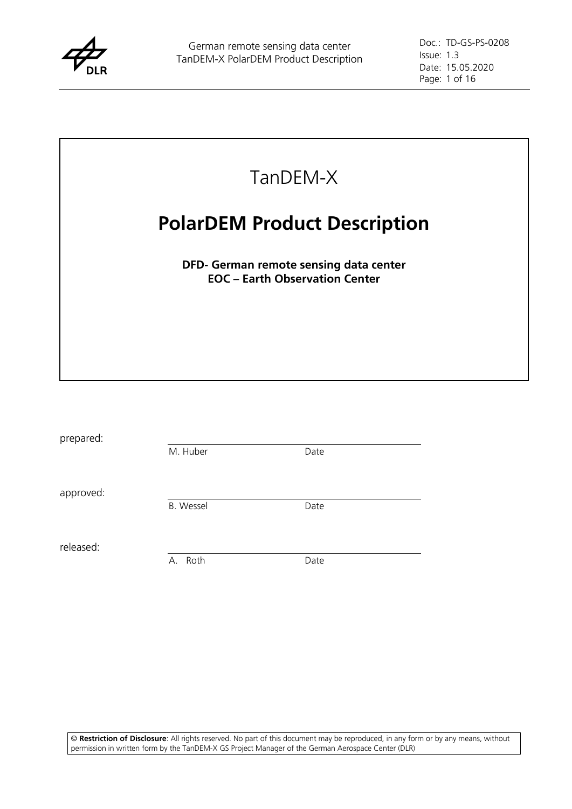



| prepared: |                  |      |
|-----------|------------------|------|
|           | M. Huber         | Date |
| approved: |                  |      |
|           | <b>B.</b> Wessel | Date |
| released: |                  |      |
|           | Roth<br>А.       | Date |

© **Restriction of Disclosure**: All rights reserved. No part of this document may be reproduced, in any form or by any means, without permission in written form by the TanDEM-X GS Project Manager of the German Aerospace Center (DLR)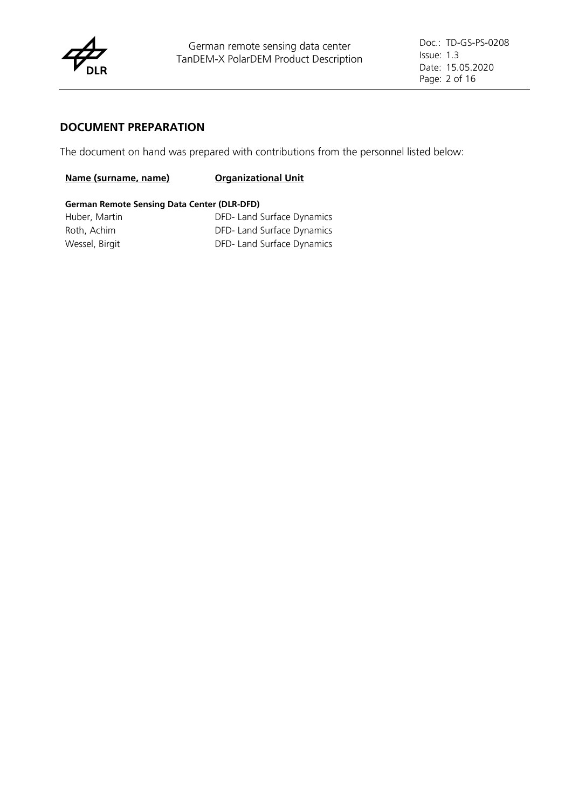

#### **DOCUMENT PREPARATION**

The document on hand was prepared with contributions from the personnel listed below:

#### **Name (surname, name) Organizational Unit**

#### **German Remote Sensing Data Center (DLR-DFD)**

| Huber, Martin  | DFD- Land Surface Dynamics |
|----------------|----------------------------|
| Roth, Achim    | DFD- Land Surface Dynamics |
| Wessel, Birgit | DFD- Land Surface Dynamics |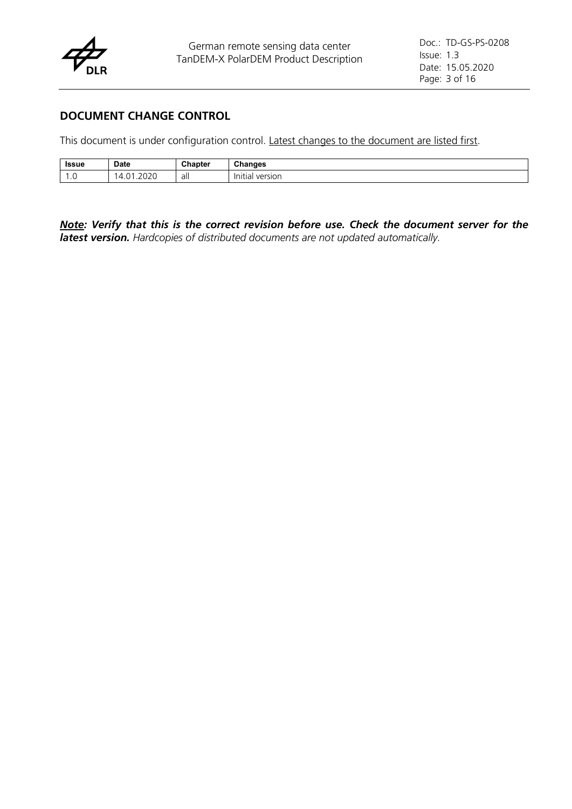

### **DOCUMENT CHANGE CONTROL**

This document is under configuration control. Latest changes to the document are listed first.

| Issue | <b>Date</b>                                            | Chapter | <b>Changes</b><br>. .   |
|-------|--------------------------------------------------------|---------|-------------------------|
| . U   | $\sim$ $\sim$ $\sim$<br>$\sim$<br>.2020<br>⊶<br>$\sim$ | all     | version<br>Init<br>ial. |

*Note: Verify that this is the correct revision before use. Check the document server for the latest version. Hardcopies of distributed documents are not updated automatically.*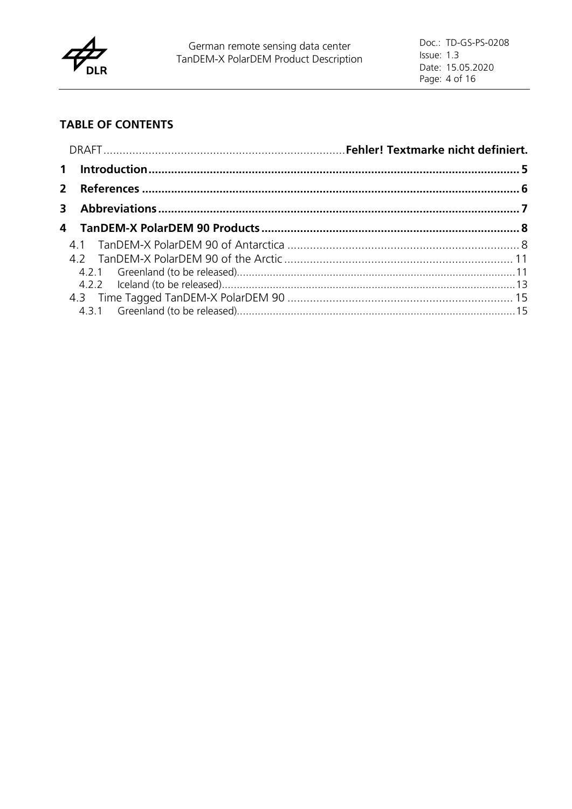

# **TABLE OF CONTENTS**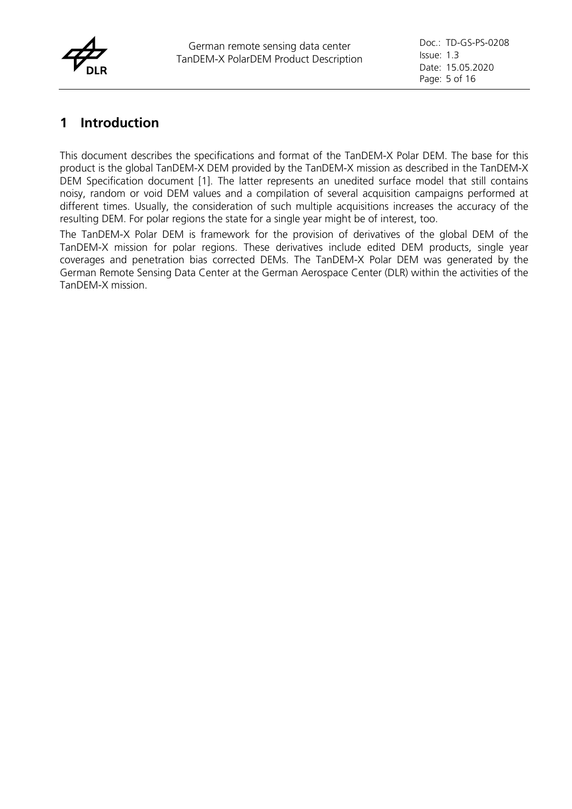

## **1 Introduction**

This document describes the specifications and format of the TanDEM-X Polar DEM. The base for this product is the global TanDEM-X DEM provided by the TanDEM-X mission as described in the TanDEM-X DEM Specification document [1]. The latter represents an unedited surface model that still contains noisy, random or void DEM values and a compilation of several acquisition campaigns performed at different times. Usually, the consideration of such multiple acquisitions increases the accuracy of the resulting DEM. For polar regions the state for a single year might be of interest, too.

The TanDEM-X Polar DEM is framework for the provision of derivatives of the global DEM of the TanDEM-X mission for polar regions. These derivatives include edited DEM products, single year coverages and penetration bias corrected DEMs. The TanDEM-X Polar DEM was generated by the German Remote Sensing Data Center at the German Aerospace Center (DLR) within the activities of the TanDEM-X mission.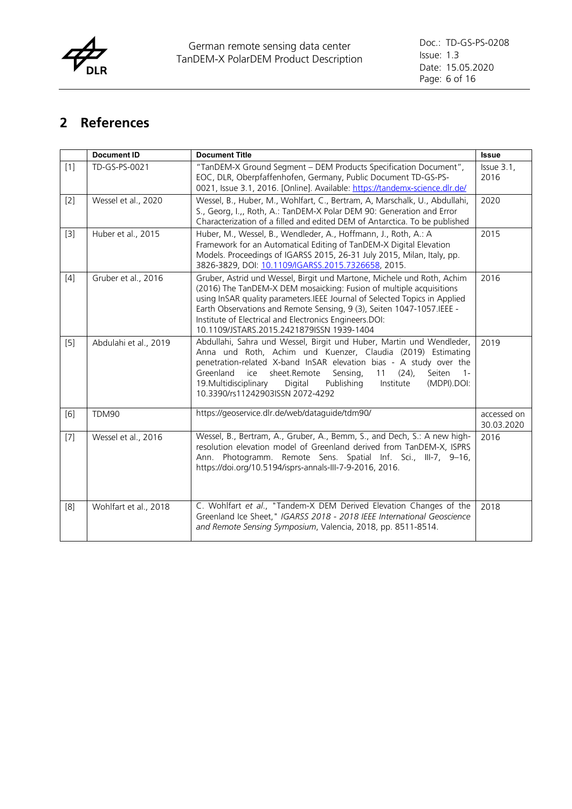

# **2 References**

|       | <b>Document ID</b>    | <b>Document Title</b>                                                                                                                                                                                                                                                                                                                                                                                            | <b>Issue</b>              |
|-------|-----------------------|------------------------------------------------------------------------------------------------------------------------------------------------------------------------------------------------------------------------------------------------------------------------------------------------------------------------------------------------------------------------------------------------------------------|---------------------------|
| $[1]$ | TD-GS-PS-0021         | "TanDEM-X Ground Segment - DEM Products Specification Document",<br>EOC, DLR, Oberpfaffenhofen, Germany, Public Document TD-GS-PS-<br>0021, Issue 3.1, 2016. [Online]. Available: https://tandemx-science.dlr.de/                                                                                                                                                                                                | Issue 3.1,<br>2016        |
| $[2]$ | Wessel et al., 2020   | Wessel, B., Huber, M., Wohlfart, C., Bertram, A, Marschalk, U., Abdullahi,<br>S., Georg, I.,, Roth, A.: TanDEM-X Polar DEM 90: Generation and Error<br>Characterization of a filled and edited DEM of Antarctica. To be published                                                                                                                                                                                | 2020                      |
| $[3]$ | Huber et al., 2015    | Huber, M., Wessel, B., Wendleder, A., Hoffmann, J., Roth, A.: A<br>Framework for an Automatical Editing of TanDEM-X Digital Elevation<br>Models. Proceedings of IGARSS 2015, 26-31 July 2015, Milan, Italy, pp.<br>3826-3829, DOI: 10.1109/IGARSS.2015.7326658, 2015.                                                                                                                                            | 2015                      |
| $[4]$ | Gruber et al., 2016   | Gruber, Astrid und Wessel, Birgit und Martone, Michele und Roth, Achim<br>(2016) The TanDEM-X DEM mosaicking: Fusion of multiple acquisitions<br>using InSAR quality parameters. IEEE Journal of Selected Topics in Applied<br>Earth Observations and Remote Sensing, 9 (3), Seiten 1047-1057.IEEE -<br>Institute of Electrical and Electronics Engineers.DOI:<br>10.1109/JSTARS.2015.2421879ISSN 1939-1404      | 2016                      |
| $[5]$ | Abdulahi et al., 2019 | Abdullahi, Sahra und Wessel, Birgit und Huber, Martin und Wendleder,<br>Anna und Roth, Achim und Kuenzer, Claudia (2019) Estimating<br>penetration-related X-band InSAR elevation bias - A study over the<br>sheet.Remote<br>Seiten<br>Greenland<br>ice<br>Sensing,<br>11<br>$(24)$ ,<br>$1 -$<br>19. Multidisciplinary<br>Publishing<br>Digital<br>Institute<br>(MDPI).DOI:<br>10.3390/rs11242903ISSN 2072-4292 | 2019                      |
| [6]   | <b>TDM90</b>          | https://geoservice.dlr.de/web/dataguide/tdm90/                                                                                                                                                                                                                                                                                                                                                                   | accessed on<br>30.03.2020 |
| $[7]$ | Wessel et al., 2016   | Wessel, B., Bertram, A., Gruber, A., Bemm, S., and Dech, S.: A new high-<br>resolution elevation model of Greenland derived from TanDEM-X, ISPRS<br>Ann. Photogramm. Remote Sens. Spatial Inf. Sci., III-7, 9-16,<br>https://doi.org/10.5194/isprs-annals-III-7-9-2016, 2016.                                                                                                                                    | 2016                      |
| [8]   | Wohlfart et al., 2018 | C. Wohlfart et al., "Tandem-X DEM Derived Elevation Changes of the<br>Greenland Ice Sheet," IGARSS 2018 - 2018 IEEE International Geoscience<br>and Remote Sensing Symposium, Valencia, 2018, pp. 8511-8514.                                                                                                                                                                                                     | 2018                      |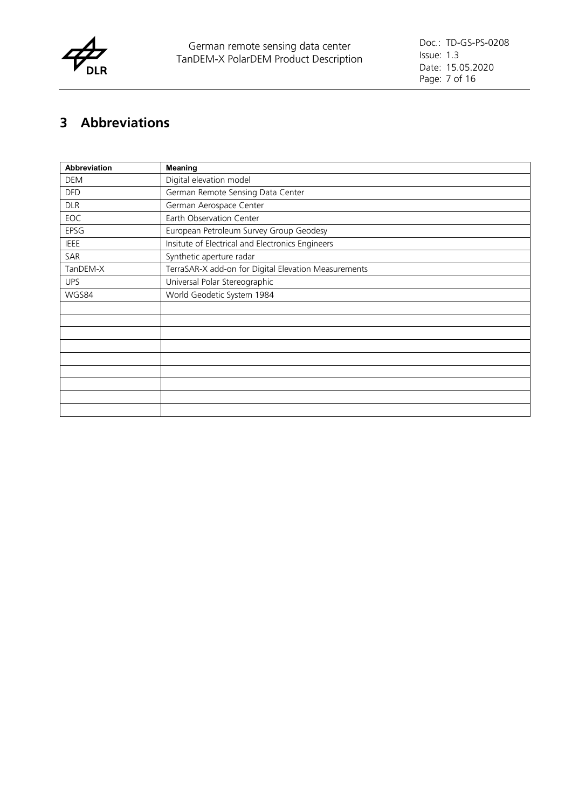

# **3 Abbreviations**

| <b>Abbreviation</b> | Meaning                                              |
|---------------------|------------------------------------------------------|
| DEM                 | Digital elevation model                              |
| <b>DFD</b>          | German Remote Sensing Data Center                    |
| <b>DLR</b>          | German Aerospace Center                              |
| EOC                 | Earth Observation Center                             |
| EPSG                | European Petroleum Survey Group Geodesy              |
| <b>IEEE</b>         | Insitute of Electrical and Electronics Engineers     |
| SAR                 | Synthetic aperture radar                             |
| TanDEM-X            | TerraSAR-X add-on for Digital Elevation Measurements |
| <b>UPS</b>          | Universal Polar Stereographic                        |
| WGS84               | World Geodetic System 1984                           |
|                     |                                                      |
|                     |                                                      |
|                     |                                                      |
|                     |                                                      |
|                     |                                                      |
|                     |                                                      |
|                     |                                                      |
|                     |                                                      |
|                     |                                                      |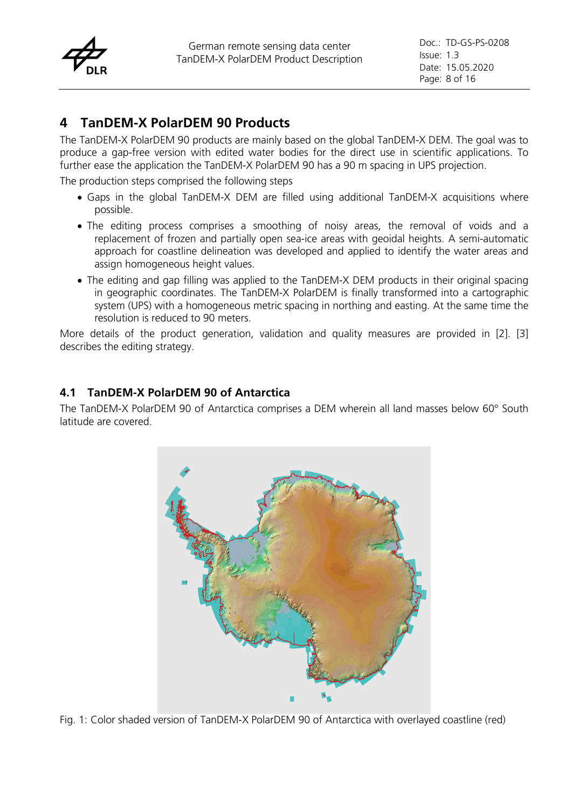

# **4 TanDEM-X PolarDEM 90 Products**

The TanDEM-X PolarDEM 90 products are mainly based on the global TanDEM-X DEM. The goal was to produce a gap-free version with edited water bodies for the direct use in scientific applications. To further ease the application the TanDEM-X PolarDEM 90 has a 90 m spacing in UPS projection.

The production steps comprised the following steps

- Gaps in the global TanDEM-X DEM are filled using additional TanDEM-X acquisitions where possible.
- The editing process comprises a smoothing of noisy areas, the removal of voids and a replacement of frozen and partially open sea-ice areas with geoidal heights. A semi-automatic approach for coastline delineation was developed and applied to identify the water areas and assign homogeneous height values.
- The editing and gap filling was applied to the TanDEM-X DEM products in their original spacing in geographic coordinates. The TanDEM-X PolarDEM is finally transformed into a cartographic system (UPS) with a homogeneous metric spacing in northing and easting. At the same time the resolution is reduced to 90 meters.

More details of the product generation, validation and quality measures are provided in [2]. [3] describes the editing strategy.

## **4.1 TanDEM-X PolarDEM 90 of Antarctica**

The TanDEM-X PolarDEM 90 of Antarctica comprises a DEM wherein all land masses below 60° South latitude are covered.



Fig. 1: Color shaded version of TanDEM-X PolarDEM 90 of Antarctica with overlayed coastline (red)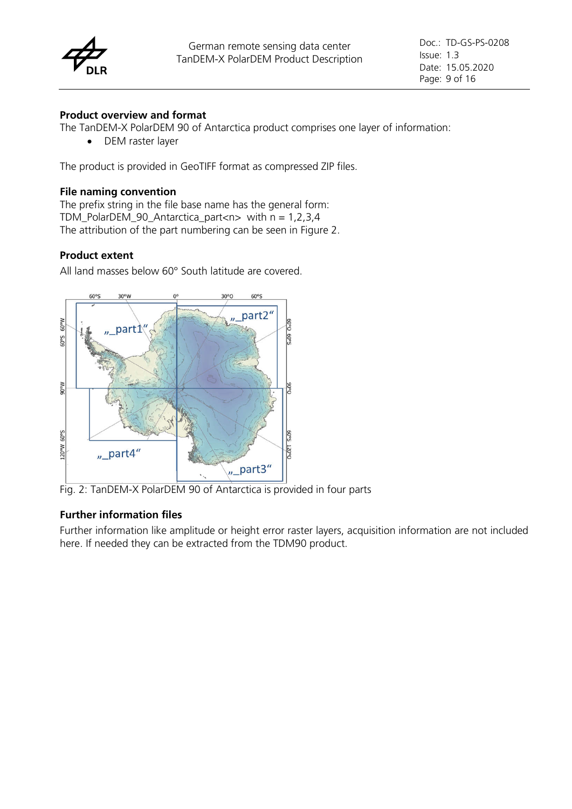

#### **Product overview and format**

The TanDEM-X PolarDEM 90 of Antarctica product comprises one layer of information:

• DEM raster layer

The product is provided in GeoTIFF format as compressed ZIP files.

#### **File naming convention**

The prefix string in the file base name has the general form: TDM\_PolarDEM\_90\_Antarctica\_part<n> with  $n = 1,2,3,4$ The attribution of the part numbering can be seen in Figure 2.

#### **Product extent**

All land masses below 60° South latitude are covered.



Fig. 2: TanDEM-X PolarDEM 90 of Antarctica is provided in four parts

#### **Further information files**

Further information like amplitude or height error raster layers, acquisition information are not included here. If needed they can be extracted from the TDM90 product.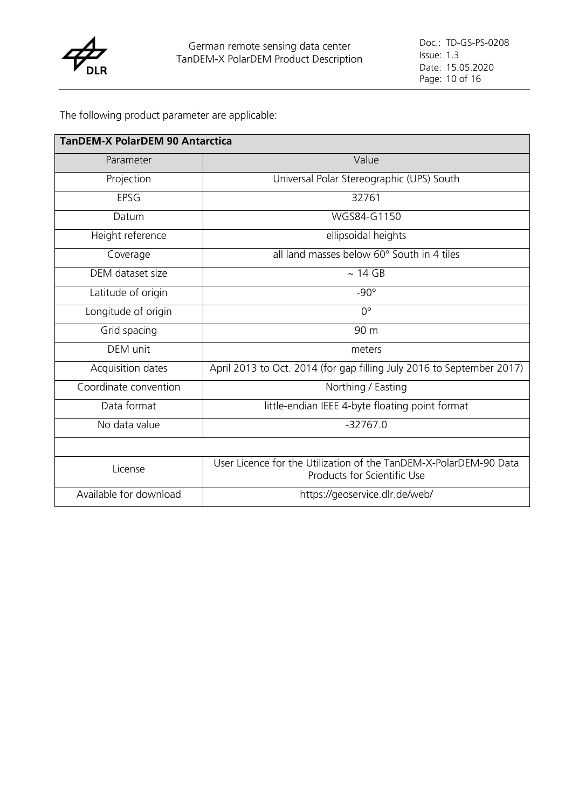

| <b>TanDEM-X PolarDEM 90 Antarctica</b> |                                                                                                  |  |
|----------------------------------------|--------------------------------------------------------------------------------------------------|--|
| Parameter                              | Value                                                                                            |  |
| Projection                             | Universal Polar Stereographic (UPS) South                                                        |  |
| EPSG                                   | 32761                                                                                            |  |
| Datum                                  | WGS84-G1150                                                                                      |  |
| Height reference                       | ellipsoidal heights                                                                              |  |
| Coverage                               | all land masses below 60° South in 4 tiles                                                       |  |
| DEM dataset size                       | $\sim 14$ GB                                                                                     |  |
| Latitude of origin                     | $-90^\circ$                                                                                      |  |
| Longitude of origin                    | $0^{\circ}$                                                                                      |  |
| Grid spacing                           | 90 m                                                                                             |  |
| DEM unit                               | meters                                                                                           |  |
| Acquisition dates                      | April 2013 to Oct. 2014 (for gap filling July 2016 to September 2017)                            |  |
| Coordinate convention                  | Northing / Easting                                                                               |  |
| Data format                            | little-endian IEEE 4-byte floating point format                                                  |  |
| No data value                          | $-32767.0$                                                                                       |  |
|                                        |                                                                                                  |  |
| License                                | User Licence for the Utilization of the TanDEM-X-PolarDEM-90 Data<br>Products for Scientific Use |  |
| Available for download                 | https://geoservice.dlr.de/web/                                                                   |  |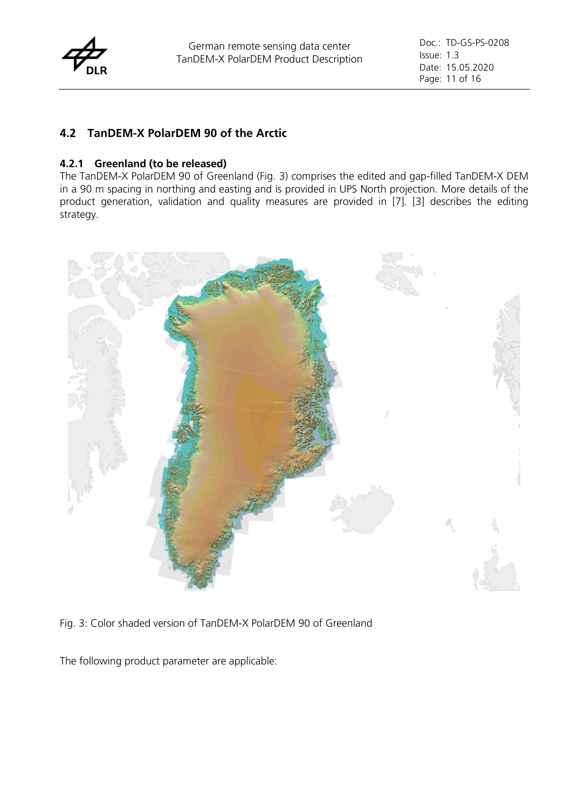

## **4.2 TanDEM-X PolarDEM 90 of the Arctic**

#### **4.2.1 Greenland (to be released)**

The TanDEM-X PolarDEM 90 of Greenland (Fig. 3) comprises the edited and gap-filled TanDEM-X DEM in a 90 m spacing in northing and easting and is provided in UPS North projection. More details of the product generation, validation and quality measures are provided in [7]. [3] describes the editing strategy.



Fig. 3: Color shaded version of TanDEM-X PolarDEM 90 of Greenland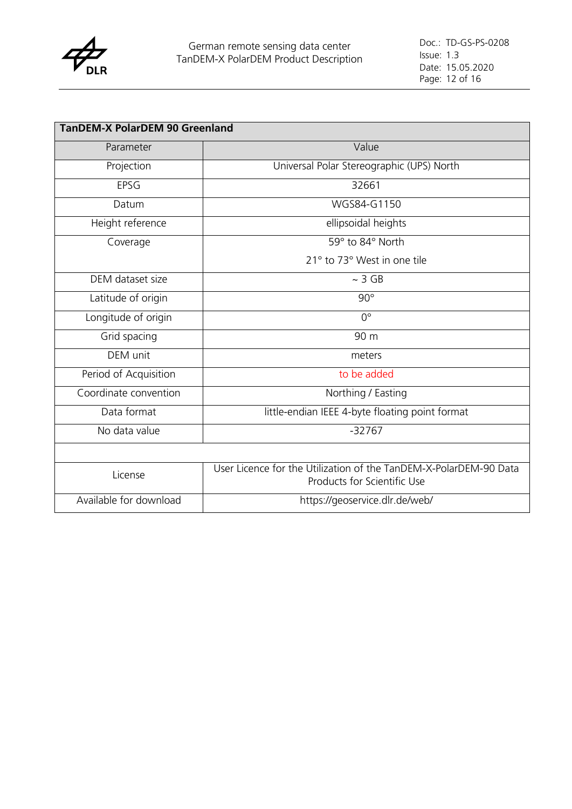

| <b>TanDEM-X PolarDEM 90 Greenland</b> |                                                                                                  |  |
|---------------------------------------|--------------------------------------------------------------------------------------------------|--|
| Parameter                             | Value                                                                                            |  |
| Projection                            | Universal Polar Stereographic (UPS) North                                                        |  |
| EPSG                                  | 32661                                                                                            |  |
| Datum                                 | WGS84-G1150                                                                                      |  |
| Height reference                      | ellipsoidal heights                                                                              |  |
| Coverage                              | 59° to 84° North                                                                                 |  |
|                                       | 21° to 73° West in one tile                                                                      |  |
| DEM dataset size                      | $~\sim$ 3 GB                                                                                     |  |
| Latitude of origin                    | $90^\circ$                                                                                       |  |
| Longitude of origin                   | $0^{\circ}$                                                                                      |  |
| Grid spacing                          | 90 m                                                                                             |  |
| DEM unit                              | meters                                                                                           |  |
| Period of Acquisition                 | to be added                                                                                      |  |
| Coordinate convention                 | Northing / Easting                                                                               |  |
| Data format                           | little-endian IEEE 4-byte floating point format                                                  |  |
| No data value                         | $-32767$                                                                                         |  |
|                                       |                                                                                                  |  |
| License                               | User Licence for the Utilization of the TanDEM-X-PolarDEM-90 Data<br>Products for Scientific Use |  |
| Available for download                | https://geoservice.dlr.de/web/                                                                   |  |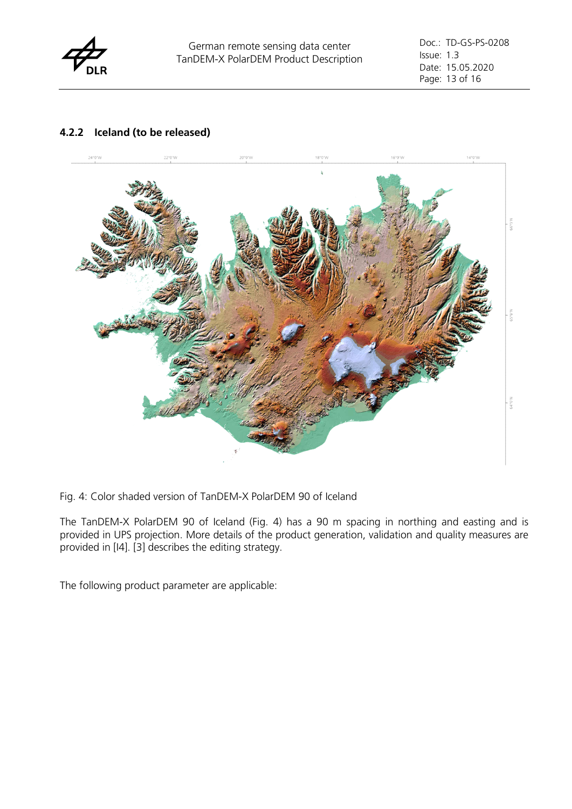

#### **4.2.2 Iceland (to be released)**



Fig. 4: Color shaded version of TanDEM-X PolarDEM 90 of Iceland

The TanDEM-X PolarDEM 90 of Iceland (Fig. 4) has a 90 m spacing in northing and easting and is provided in UPS projection. More details of the product generation, validation and quality measures are provided in [I4]. [3] describes the editing strategy.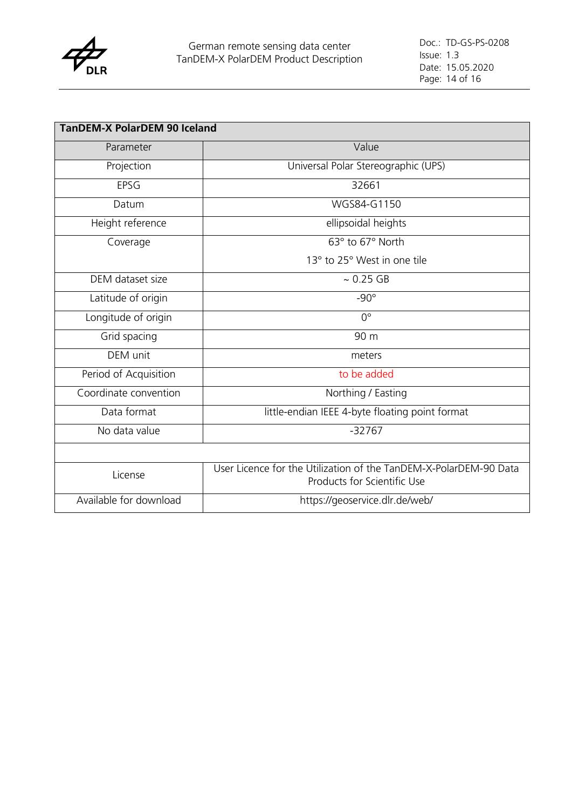

| <b>TanDEM-X PolarDEM 90 Iceland</b> |                                                                                                  |  |
|-------------------------------------|--------------------------------------------------------------------------------------------------|--|
| Parameter                           | Value                                                                                            |  |
| Projection                          | Universal Polar Stereographic (UPS)                                                              |  |
| EPSG                                | 32661                                                                                            |  |
| Datum                               | WGS84-G1150                                                                                      |  |
| Height reference                    | ellipsoidal heights                                                                              |  |
| Coverage                            | 63° to 67° North                                                                                 |  |
|                                     | 13° to 25° West in one tile                                                                      |  |
| DEM dataset size                    | $~0.25$ GB                                                                                       |  |
| Latitude of origin                  | $-90^\circ$                                                                                      |  |
| Longitude of origin                 | $0^{\circ}$                                                                                      |  |
| Grid spacing                        | 90 m                                                                                             |  |
| DEM unit                            | meters                                                                                           |  |
| Period of Acquisition               | to be added                                                                                      |  |
| Coordinate convention               | Northing / Easting                                                                               |  |
| Data format                         | little-endian IEEE 4-byte floating point format                                                  |  |
| No data value                       | $-32767$                                                                                         |  |
|                                     |                                                                                                  |  |
| License                             | User Licence for the Utilization of the TanDEM-X-PolarDEM-90 Data<br>Products for Scientific Use |  |
| Available for download              | https://geoservice.dlr.de/web/                                                                   |  |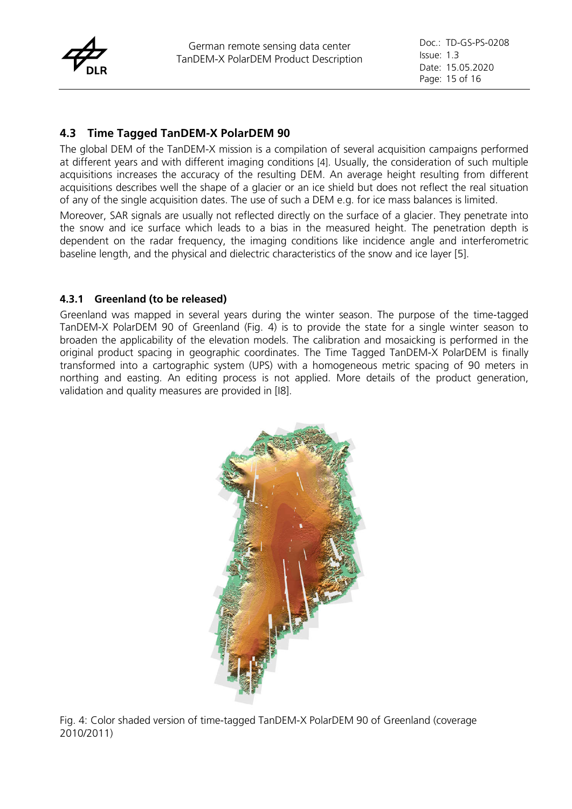

## **4.3 Time Tagged TanDEM-X PolarDEM 90**

The global DEM of the TanDEM-X mission is a compilation of several acquisition campaigns performed at different years and with different imaging conditions [4]. Usually, the consideration of such multiple acquisitions increases the accuracy of the resulting DEM. An average height resulting from different acquisitions describes well the shape of a glacier or an ice shield but does not reflect the real situation of any of the single acquisition dates. The use of such a DEM e.g. for ice mass balances is limited.

Moreover, SAR signals are usually not reflected directly on the surface of a glacier. They penetrate into the snow and ice surface which leads to a bias in the measured height. The penetration depth is dependent on the radar frequency, the imaging conditions like incidence angle and interferometric baseline length, and the physical and dielectric characteristics of the snow and ice layer [5].

#### **4.3.1 Greenland (to be released)**

Greenland was mapped in several years during the winter season. The purpose of the time-tagged TanDEM-X PolarDEM 90 of Greenland (Fig. 4) is to provide the state for a single winter season to broaden the applicability of the elevation models. The calibration and mosaicking is performed in the original product spacing in geographic coordinates. The Time Tagged TanDEM-X PolarDEM is finally transformed into a cartographic system (UPS) with a homogeneous metric spacing of 90 meters in northing and easting. An editing process is not applied. More details of the product generation, validation and quality measures are provided in [I8].



Fig. 4: Color shaded version of time-tagged TanDEM-X PolarDEM 90 of Greenland (coverage 2010/2011)